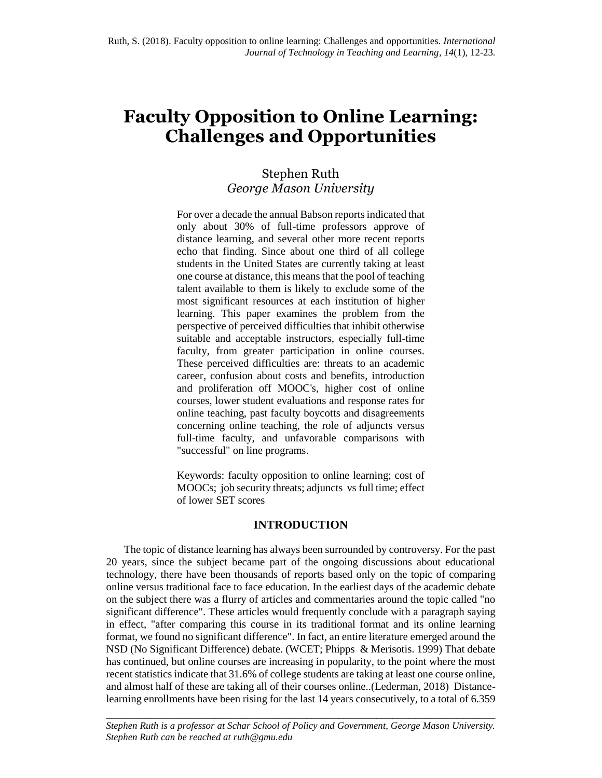# **Faculty Opposition to Online Learning: Challenges and Opportunities**

# Stephen Ruth *George Mason University*

For over a decade the annual Babson reports indicated that only about 30% of full-time professors approve of distance learning, and several other more recent reports echo that finding. Since about one third of all college students in the United States are currently taking at least one course at distance, this means that the pool of teaching talent available to them is likely to exclude some of the most significant resources at each institution of higher learning. This paper examines the problem from the perspective of perceived difficulties that inhibit otherwise suitable and acceptable instructors, especially full-time faculty, from greater participation in online courses. These perceived difficulties are: threats to an academic career, confusion about costs and benefits, introduction and proliferation off MOOC's, higher cost of online courses, lower student evaluations and response rates for online teaching, past faculty boycotts and disagreements concerning online teaching, the role of adjuncts versus full-time faculty, and unfavorable comparisons with "successful" on line programs.

Keywords: faculty opposition to online learning; cost of MOOCs; job security threats; adjuncts vs full time; effect of lower SET scores

# **INTRODUCTION**

The topic of distance learning has always been surrounded by controversy. For the past 20 years, since the subject became part of the ongoing discussions about educational technology, there have been thousands of reports based only on the topic of comparing online versus traditional face to face education. In the earliest days of the academic debate on the subject there was a flurry of articles and commentaries around the topic called "no significant difference". These articles would frequently conclude with a paragraph saying in effect, "after comparing this course in its traditional format and its online learning format, we found no significant difference". In fact, an entire literature emerged around the NSD (No Significant Difference) debate. (WCET; Phipps & Merisotis. 1999) That debate has continued, but online courses are increasing in popularity, to the point where the most recent statistics indicate that 31.6% of college students are taking at least one course online, and almost half of these are taking all of their courses online..(Lederman, 2018) Distancelearning enrollments have been rising for the last 14 years consecutively, to a total of 6.359

\_\_\_\_\_\_\_\_\_\_\_\_\_\_\_\_\_\_\_\_\_\_\_\_\_\_\_\_\_\_\_\_\_\_\_\_\_\_\_\_\_\_\_\_\_\_\_\_\_\_\_\_\_\_\_\_\_\_\_\_\_\_\_\_\_\_\_\_\_\_\_\_ *Stephen Ruth is a professor at Schar School of Policy and Government, George Mason University. Stephen Ruth can be reached at ruth@gmu.edu*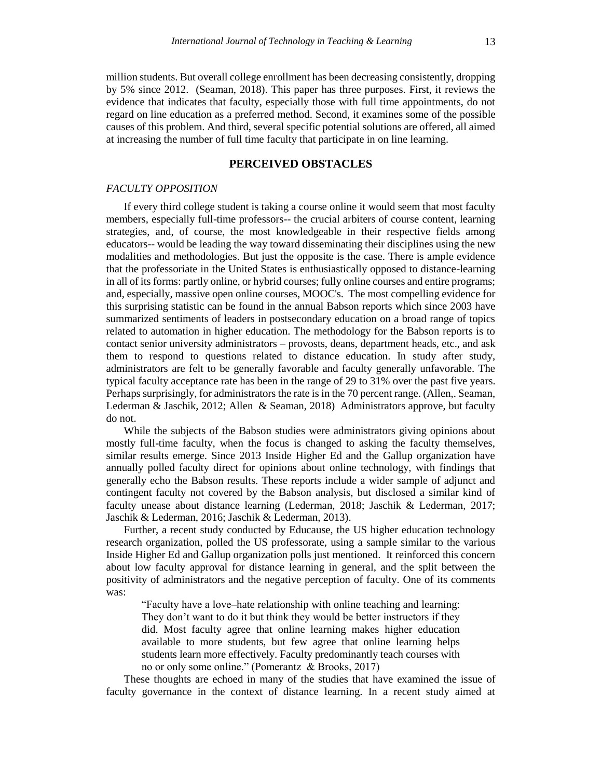million students. But overall college enrollment has been decreasing consistently, dropping by 5% since 2012. (Seaman, 2018). This paper has three purposes. First, it reviews the evidence that indicates that faculty, especially those with full time appointments, do not regard on line education as a preferred method. Second, it examines some of the possible causes of this problem. And third, several specific potential solutions are offered, all aimed at increasing the number of full time faculty that participate in on line learning.

## **PERCEIVED OBSTACLES**

#### *FACULTY OPPOSITION*

If every third college student is taking a course online it would seem that most faculty members, especially full-time professors-- the crucial arbiters of course content, learning strategies, and, of course, the most knowledgeable in their respective fields among educators-- would be leading the way toward disseminating their disciplines using the new modalities and methodologies. But just the opposite is the case. There is ample evidence that the professoriate in the United States is enthusiastically opposed to distance-learning in all of its forms: partly online, or hybrid courses; fully online courses and entire programs; and, especially, massive open online courses, MOOC's. The most compelling evidence for this surprising statistic can be found in the annual Babson reports which since 2003 have summarized sentiments of leaders in postsecondary education on a broad range of topics related to automation in higher education. The methodology for the Babson reports is to contact senior university administrators – provosts, deans, department heads, etc., and ask them to respond to questions related to distance education. In study after study, administrators are felt to be generally favorable and faculty generally unfavorable. The typical faculty acceptance rate has been in the range of 29 to 31% over the past five years. Perhaps surprisingly, for administrators the rate is in the 70 percent range. (Allen,. Seaman, Lederman & Jaschik, 2012; Allen & Seaman, 2018) Administrators approve, but faculty do not.

While the subjects of the Babson studies were administrators giving opinions about mostly full-time faculty, when the focus is changed to asking the faculty themselves, similar results emerge. Since 2013 Inside Higher Ed and the Gallup organization have annually polled faculty direct for opinions about online technology, with findings that generally echo the Babson results. These reports include a wider sample of adjunct and contingent faculty not covered by the Babson analysis, but disclosed a similar kind of faculty unease about distance learning (Lederman, 2018; Jaschik & Lederman, 2017; Jaschik & Lederman, 2016; Jaschik & Lederman, 2013).

Further, a recent study conducted by Educause, the US higher education technology research organization, polled the US professorate, using a sample similar to the various Inside Higher Ed and Gallup organization polls just mentioned. It reinforced this concern about low faculty approval for distance learning in general, and the split between the positivity of administrators and the negative perception of faculty. One of its comments was:

"Faculty have a love–hate relationship with online teaching and learning: They don't want to do it but think they would be better instructors if they did. Most faculty agree that online learning makes higher education available to more students, but few agree that online learning helps students learn more effectively. Faculty predominantly teach courses with no or only some online." (Pomerantz & Brooks, 2017)

These thoughts are echoed in many of the studies that have examined the issue of faculty governance in the context of distance learning. In a recent study aimed at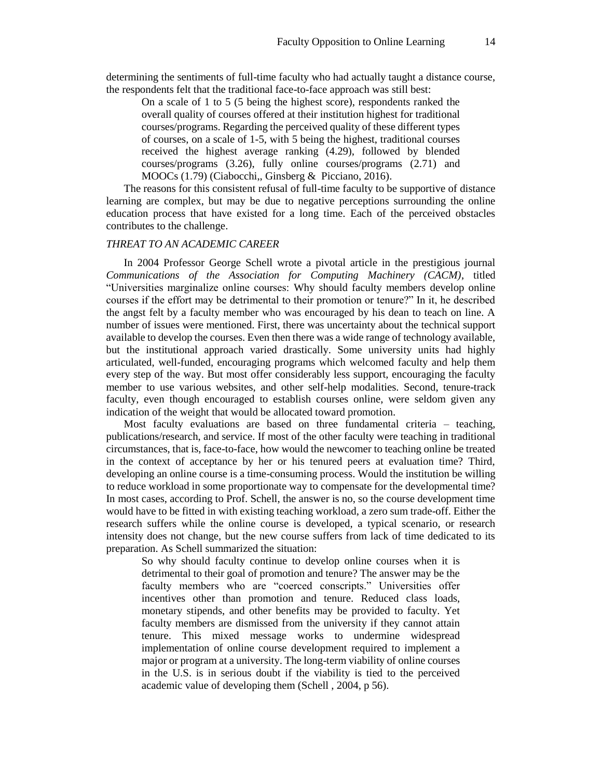determining the sentiments of full-time faculty who had actually taught a distance course, the respondents felt that the traditional face-to-face approach was still best:

On a scale of 1 to 5 (5 being the highest score), respondents ranked the overall quality of courses offered at their institution highest for traditional courses/programs. Regarding the perceived quality of these different types of courses, on a scale of 1-5, with 5 being the highest, traditional courses received the highest average ranking (4.29), followed by blended courses/programs (3.26), fully online courses/programs (2.71) and MOOCs (1.79) (Ciabocchi,, Ginsberg & Picciano, 2016).

The reasons for this consistent refusal of full-time faculty to be supportive of distance learning are complex, but may be due to negative perceptions surrounding the online education process that have existed for a long time. Each of the perceived obstacles contributes to the challenge.

#### *THREAT TO AN ACADEMIC CAREER*

In 2004 Professor George Schell wrote a pivotal article in the prestigious journal *Communications of the Association for Computing Machinery (CACM)*, titled "Universities marginalize online courses: Why should faculty members develop online courses if the effort may be detrimental to their promotion or tenure?" In it, he described the angst felt by a faculty member who was encouraged by his dean to teach on line. A number of issues were mentioned. First, there was uncertainty about the technical support available to develop the courses. Even then there was a wide range of technology available, but the institutional approach varied drastically. Some university units had highly articulated, well-funded, encouraging programs which welcomed faculty and help them every step of the way. But most offer considerably less support, encouraging the faculty member to use various websites, and other self-help modalities. Second, tenure-track faculty, even though encouraged to establish courses online, were seldom given any indication of the weight that would be allocated toward promotion.

Most faculty evaluations are based on three fundamental criteria – teaching, publications/research, and service. If most of the other faculty were teaching in traditional circumstances, that is, face-to-face, how would the newcomer to teaching online be treated in the context of acceptance by her or his tenured peers at evaluation time? Third, developing an online course is a time-consuming process. Would the institution be willing to reduce workload in some proportionate way to compensate for the developmental time? In most cases, according to Prof. Schell, the answer is no, so the course development time would have to be fitted in with existing teaching workload, a zero sum trade-off. Either the research suffers while the online course is developed, a typical scenario, or research intensity does not change, but the new course suffers from lack of time dedicated to its preparation. As Schell summarized the situation:

So why should faculty continue to develop online courses when it is detrimental to their goal of promotion and tenure? The answer may be the faculty members who are "coerced conscripts." Universities offer incentives other than promotion and tenure. Reduced class loads, monetary stipends, and other benefits may be provided to faculty. Yet faculty members are dismissed from the university if they cannot attain tenure. This mixed message works to undermine widespread implementation of online course development required to implement a major or program at a university. The long-term viability of online courses in the U.S. is in serious doubt if the viability is tied to the perceived academic value of developing them (Schell , 2004, p 56).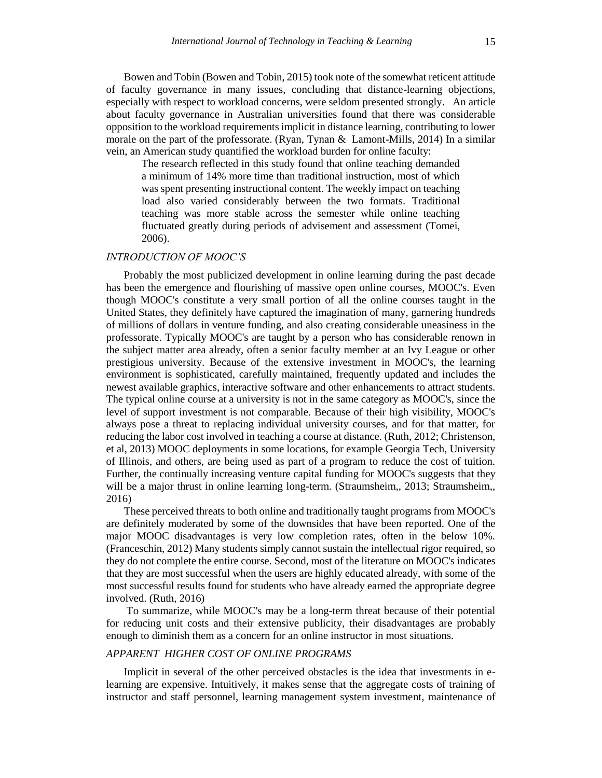Bowen and Tobin (Bowen and Tobin, 2015) took note of the somewhat reticent attitude of faculty governance in many issues, concluding that distance-learning objections, especially with respect to workload concerns, were seldom presented strongly. An article about faculty governance in Australian universities found that there was considerable opposition to the workload requirements implicit in distance learning, contributing to lower morale on the part of the professorate. (Ryan, Tynan & Lamont-Mills, 2014) In a similar vein, an American study quantified the workload burden for online faculty:

The research reflected in this study found that online teaching demanded a minimum of 14% more time than traditional instruction, most of which was spent presenting instructional content. The weekly impact on teaching load also varied considerably between the two formats. Traditional teaching was more stable across the semester while online teaching fluctuated greatly during periods of advisement and assessment (Tomei, 2006).

#### *INTRODUCTION OF MOOC'S*

Probably the most publicized development in online learning during the past decade has been the emergence and flourishing of massive open online courses, MOOC's. Even though MOOC's constitute a very small portion of all the online courses taught in the United States, they definitely have captured the imagination of many, garnering hundreds of millions of dollars in venture funding, and also creating considerable uneasiness in the professorate. Typically MOOC's are taught by a person who has considerable renown in the subject matter area already, often a senior faculty member at an Ivy League or other prestigious university. Because of the extensive investment in MOOC's, the learning environment is sophisticated, carefully maintained, frequently updated and includes the newest available graphics, interactive software and other enhancements to attract students. The typical online course at a university is not in the same category as MOOC's, since the level of support investment is not comparable. Because of their high visibility, MOOC's always pose a threat to replacing individual university courses, and for that matter, for reducing the labor cost involved in teaching a course at distance. (Ruth, 2012; Christenson, et al, 2013) MOOC deployments in some locations, for example Georgia Tech, University of Illinois, and others, are being used as part of a program to reduce the cost of tuition. Further, the continually increasing venture capital funding for MOOC's suggests that they will be a major thrust in online learning long-term. (Straumsheim,, 2013; Straumsheim,, 2016)

These perceived threats to both online and traditionally taught programs from MOOC's are definitely moderated by some of the downsides that have been reported. One of the major MOOC disadvantages is very low completion rates, often in the below 10%. (Franceschin, 2012) Many students simply cannot sustain the intellectual rigor required, so they do not complete the entire course. Second, most of the literature on MOOC's indicates that they are most successful when the users are highly educated already, with some of the most successful results found for students who have already earned the appropriate degree involved. (Ruth, 2016)

To summarize, while MOOC's may be a long-term threat because of their potential for reducing unit costs and their extensive publicity, their disadvantages are probably enough to diminish them as a concern for an online instructor in most situations.

#### *APPARENT HIGHER COST OF ONLINE PROGRAMS*

Implicit in several of the other perceived obstacles is the idea that investments in elearning are expensive. Intuitively, it makes sense that the aggregate costs of training of instructor and staff personnel, learning management system investment, maintenance of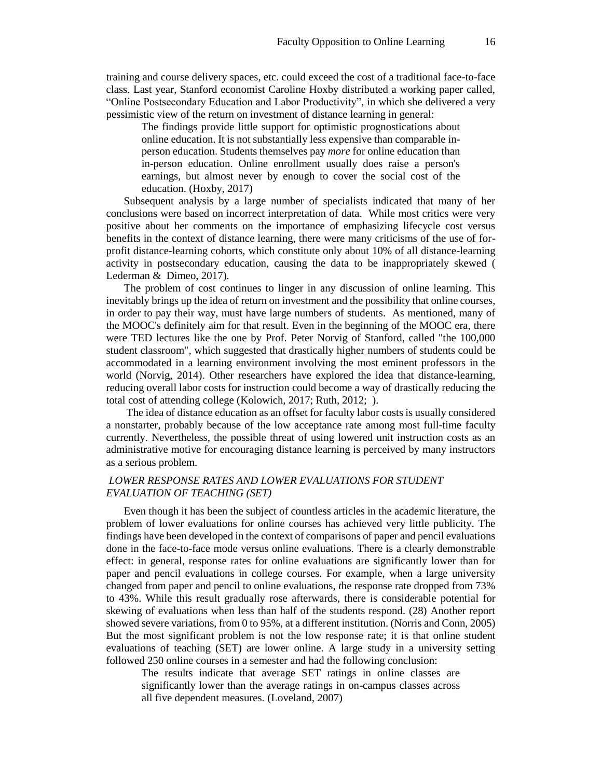training and course delivery spaces, etc. could exceed the cost of a traditional face-to-face class. Last year, Stanford economist Caroline Hoxby distributed a working paper called, "Online Postsecondary Education and Labor Productivity", in which she delivered a very pessimistic view of the return on investment of distance learning in general:

The findings provide little support for optimistic prognostications about online education. It is not substantially less expensive than comparable inperson education. Students themselves pay *more* for online education than in-person education. Online enrollment usually does raise a person's earnings, but almost never by enough to cover the social cost of the education. (Hoxby, 2017)

Subsequent analysis by a large number of specialists indicated that many of her conclusions were based on incorrect interpretation of data. While most critics were very positive about her comments on the importance of emphasizing lifecycle cost versus benefits in the context of distance learning, there were many criticisms of the use of forprofit distance-learning cohorts, which constitute only about 10% of all distance-learning activity in postsecondary education, causing the data to be inappropriately skewed ( Lederman & Dimeo, 2017).

The problem of cost continues to linger in any discussion of online learning. This inevitably brings up the idea of return on investment and the possibility that online courses, in order to pay their way, must have large numbers of students. As mentioned, many of the MOOC's definitely aim for that result. Even in the beginning of the MOOC era, there were TED lectures like the one by Prof. Peter Norvig of Stanford, called "the 100,000 student classroom", which suggested that drastically higher numbers of students could be accommodated in a learning environment involving the most eminent professors in the world (Norvig, 2014). Other researchers have explored the idea that distance-learning, reducing overall labor costs for instruction could become a way of drastically reducing the total cost of attending college (Kolowich, 2017; Ruth, 2012; ).

The idea of distance education as an offset for faculty labor costs is usually considered a nonstarter, probably because of the low acceptance rate among most full-time faculty currently. Nevertheless, the possible threat of using lowered unit instruction costs as an administrative motive for encouraging distance learning is perceived by many instructors as a serious problem.

# *LOWER RESPONSE RATES AND LOWER EVALUATIONS FOR STUDENT EVALUATION OF TEACHING (SET)*

Even though it has been the subject of countless articles in the academic literature, the problem of lower evaluations for online courses has achieved very little publicity. The findings have been developed in the context of comparisons of paper and pencil evaluations done in the face-to-face mode versus online evaluations*.* There is a clearly demonstrable effect: in general, response rates for online evaluations are significantly lower than for paper and pencil evaluations in college courses. For example, when a large university changed from paper and pencil to online evaluations*, t*he response rate dropped from 73% to 43%. While this result gradually rose afterwards, there is considerable potential for skewing of evaluations when less than half of the students respond. (28) Another report showed severe variations, from 0 to 95%, at a different institution. (Norris and Conn, 2005) But the most significant problem is not the low response rate; it is that online student evaluations of teaching (SET) are lower online. A large study in a university setting followed 250 online courses in a semester and had the following conclusion:

The results indicate that average SET ratings in online classes are significantly lower than the average ratings in on-campus classes across all five dependent measures. (Loveland, 2007)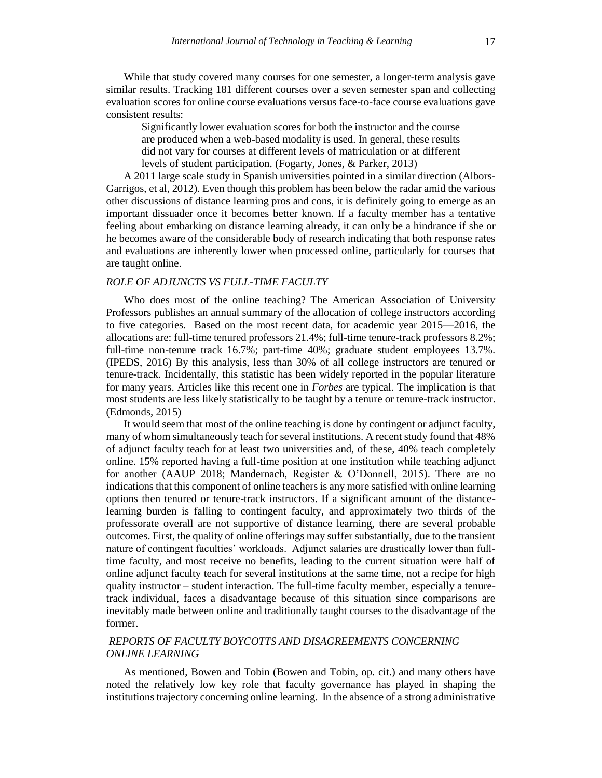While that study covered many courses for one semester, a longer-term analysis gave similar results. Tracking 181 different courses over a seven semester span and collecting evaluation scores for online course evaluations versus face-to-face course evaluations gave consistent results:

Significantly lower evaluation scores for both the instructor and the course are produced when a web-based modality is used. In general, these results did not vary for courses at different levels of matriculation or at different levels of student participation. (Fogarty, Jones, & Parker, 2013)

A 2011 large scale study in Spanish universities pointed in a similar direction (Albors-Garrigos, et al, 2012). Even though this problem has been below the radar amid the various other discussions of distance learning pros and cons, it is definitely going to emerge as an important dissuader once it becomes better known. If a faculty member has a tentative feeling about embarking on distance learning already, it can only be a hindrance if she or he becomes aware of the considerable body of research indicating that both response rates and evaluations are inherently lower when processed online, particularly for courses that are taught online.

# *ROLE OF ADJUNCTS VS FULL-TIME FACULTY*

Who does most of the online teaching? The American Association of University Professors publishes an annual summary of the allocation of college instructors according to five categories. Based on the most recent data, for academic year 2015—2016, the allocations are: full-time tenured professors 21.4%; full-time tenure-track professors 8.2%; full-time non-tenure track 16.7%; part-time 40%; graduate student employees 13.7%. (IPEDS, 2016) By this analysis, less than 30% of all college instructors are tenured or tenure-track. Incidentally, this statistic has been widely reported in the popular literature for many years. Articles like this recent one in *Forbes* are typical. The implication is that most students are less likely statistically to be taught by a tenure or tenure-track instructor. (Edmonds, 2015)

It would seem that most of the online teaching is done by contingent or adjunct faculty, many of whom simultaneously teach for several institutions. A recent study found that 48% of adjunct faculty teach for at least two universities and, of these, 40% teach completely online. 15% reported having a full-time position at one institution while teaching adjunct for another (AAUP 2018; Mandernach, Register & O'Donnell, 2015). There are no indications that this component of online teachers is any more satisfied with online learning options then tenured or tenure-track instructors. If a significant amount of the distancelearning burden is falling to contingent faculty, and approximately two thirds of the professorate overall are not supportive of distance learning, there are several probable outcomes. First, the quality of online offerings may suffer substantially, due to the transient nature of contingent faculties' workloads. Adjunct salaries are drastically lower than fulltime faculty, and most receive no benefits, leading to the current situation were half of online adjunct faculty teach for several institutions at the same time, not a recipe for high quality instructor – student interaction. The full-time faculty member, especially a tenuretrack individual, faces a disadvantage because of this situation since comparisons are inevitably made between online and traditionally taught courses to the disadvantage of the former.

#### *REPORTS OF FACULTY BOYCOTTS AND DISAGREEMENTS CONCERNING ONLINE LEARNING*

As mentioned, Bowen and Tobin (Bowen and Tobin, op. cit.) and many others have noted the relatively low key role that faculty governance has played in shaping the institutions trajectory concerning online learning. In the absence of a strong administrative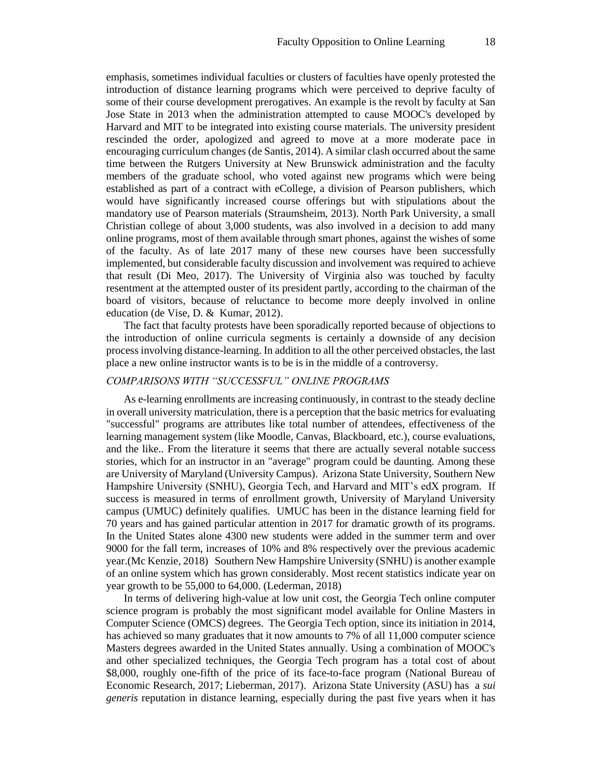emphasis, sometimes individual faculties or clusters of faculties have openly protested the introduction of distance learning programs which were perceived to deprive faculty of some of their course development prerogatives. An example is the revolt by faculty at San Jose State in 2013 when the administration attempted to cause MOOC's developed by Harvard and MIT to be integrated into existing course materials. The university president rescinded the order, apologized and agreed to move at a more moderate pace in encouraging curriculum changes (de Santis, 2014). A similar clash occurred about the same time between the Rutgers University at New Brunswick administration and the faculty members of the graduate school, who voted against new programs which were being established as part of a contract with eCollege, a division of Pearson publishers, which would have significantly increased course offerings but with stipulations about the mandatory use of Pearson materials (Straumsheim, 2013). North Park University, a small Christian college of about 3,000 students, was also involved in a decision to add many online programs, most of them available through smart phones, against the wishes of some of the faculty. As of late 2017 many of these new courses have been successfully implemented, but considerable faculty discussion and involvement was required to achieve that result (Di Meo, 2017). The University of Virginia also was touched by faculty resentment at the attempted ouster of its president partly, according to the chairman of the board of visitors, because of reluctance to become more deeply involved in online education (de Vise, D. & Kumar, 2012).

The fact that faculty protests have been sporadically reported because of objections to the introduction of online curricula segments is certainly a downside of any decision process involving distance-learning. In addition to all the other perceived obstacles, the last place a new online instructor wants is to be is in the middle of a controversy.

#### *COMPARISONS WITH "SUCCESSFUL" ONLINE PROGRAMS*

As e-learning enrollments are increasing continuously, in contrast to the steady decline in overall university matriculation, there is a perception that the basic metrics for evaluating "successful" programs are attributes like total number of attendees, effectiveness of the learning management system (like Moodle, Canvas, Blackboard, etc.), course evaluations, and the like.. From the literature it seems that there are actually several notable success stories, which for an instructor in an "average" program could be daunting. Among these are University of Maryland (University Campus). Arizona State University, Southern New Hampshire University (SNHU), Georgia Tech, and Harvard and MIT's edX program. If success is measured in terms of enrollment growth, University of Maryland University campus (UMUC) definitely qualifies. UMUC has been in the distance learning field for 70 years and has gained particular attention in 2017 for dramatic growth of its programs. In the United States alone 4300 new students were added in the summer term and over 9000 for the fall term, increases of 10% and 8% respectively over the previous academic year.(Mc Kenzie, 2018) Southern New Hampshire University (SNHU) is another example of an online system which has grown considerably. Most recent statistics indicate year on year growth to be 55,000 to 64,000. (Lederman, 2018)

In terms of delivering high-value at low unit cost, the Georgia Tech online computer science program is probably the most significant model available for Online Masters in Computer Science (OMCS) degrees. The Georgia Tech option, since its initiation in 2014, has achieved so many graduates that it now amounts to 7% of all 11,000 computer science Masters degrees awarded in the United States annually. Using a combination of MOOC's and other specialized techniques, the Georgia Tech program has a total cost of about \$8,000, roughly one-fifth of the price of its face-to-face program (National Bureau of Economic Research, 2017; Lieberman, 2017). Arizona State University (ASU) has a *sui generis* reputation in distance learning, especially during the past five years when it has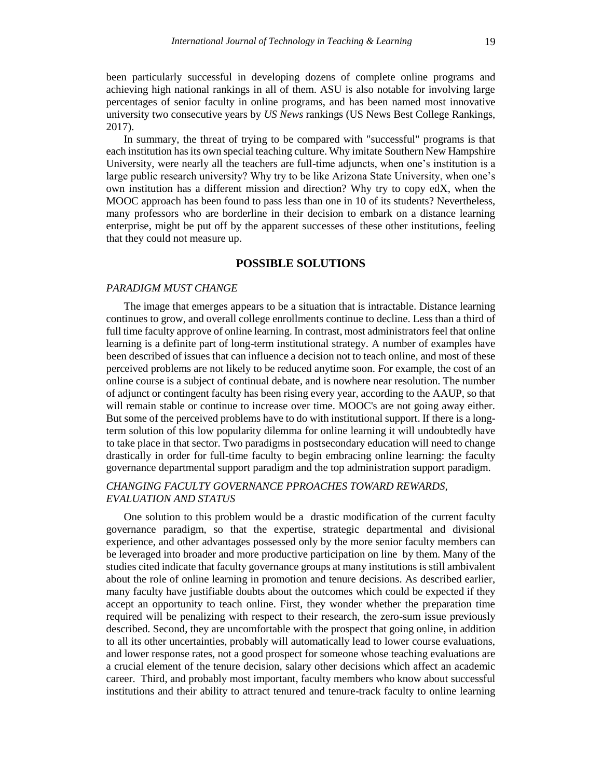been particularly successful in developing dozens of complete online programs and achieving high national rankings in all of them. ASU is also notable for involving large percentages of senior faculty in online programs, and has been named most innovative university two consecutive years by *US News* rankings (US News Best College Rankings, 2017).

In summary, the threat of trying to be compared with "successful" programs is that each institution has its own special teaching culture. Why imitate Southern New Hampshire University, were nearly all the teachers are full-time adjuncts, when one's institution is a large public research university? Why try to be like Arizona State University, when one's own institution has a different mission and direction? Why try to copy  $edX$ , when the MOOC approach has been found to pass less than one in 10 of its students? Nevertheless, many professors who are borderline in their decision to embark on a distance learning enterprise, might be put off by the apparent successes of these other institutions, feeling that they could not measure up.

#### **POSSIBLE SOLUTIONS**

#### *PARADIGM MUST CHANGE*

The image that emerges appears to be a situation that is intractable. Distance learning continues to grow, and overall college enrollments continue to decline. Less than a third of full time faculty approve of online learning. In contrast, most administrators feel that online learning is a definite part of long-term institutional strategy. A number of examples have been described of issues that can influence a decision not to teach online, and most of these perceived problems are not likely to be reduced anytime soon. For example, the cost of an online course is a subject of continual debate, and is nowhere near resolution. The number of adjunct or contingent faculty has been rising every year, according to the AAUP, so that will remain stable or continue to increase over time. MOOC's are not going away either. But some of the perceived problems have to do with institutional support. If there is a longterm solution of this low popularity dilemma for online learning it will undoubtedly have to take place in that sector. Two paradigms in postsecondary education will need to change drastically in order for full-time faculty to begin embracing online learning: the faculty governance departmental support paradigm and the top administration support paradigm.

# *CHANGING FACULTY GOVERNANCE PPROACHES TOWARD REWARDS, EVALUATION AND STATUS*

One solution to this problem would be a drastic modification of the current faculty governance paradigm, so that the expertise, strategic departmental and divisional experience, and other advantages possessed only by the more senior faculty members can be leveraged into broader and more productive participation on line by them. Many of the studies cited indicate that faculty governance groups at many institutions is still ambivalent about the role of online learning in promotion and tenure decisions. As described earlier, many faculty have justifiable doubts about the outcomes which could be expected if they accept an opportunity to teach online. First, they wonder whether the preparation time required will be penalizing with respect to their research, the zero-sum issue previously described. Second, they are uncomfortable with the prospect that going online, in addition to all its other uncertainties, probably will automatically lead to lower course evaluations, and lower response rates, not a good prospect for someone whose teaching evaluations are a crucial element of the tenure decision, salary other decisions which affect an academic career. Third, and probably most important, faculty members who know about successful institutions and their ability to attract tenured and tenure-track faculty to online learning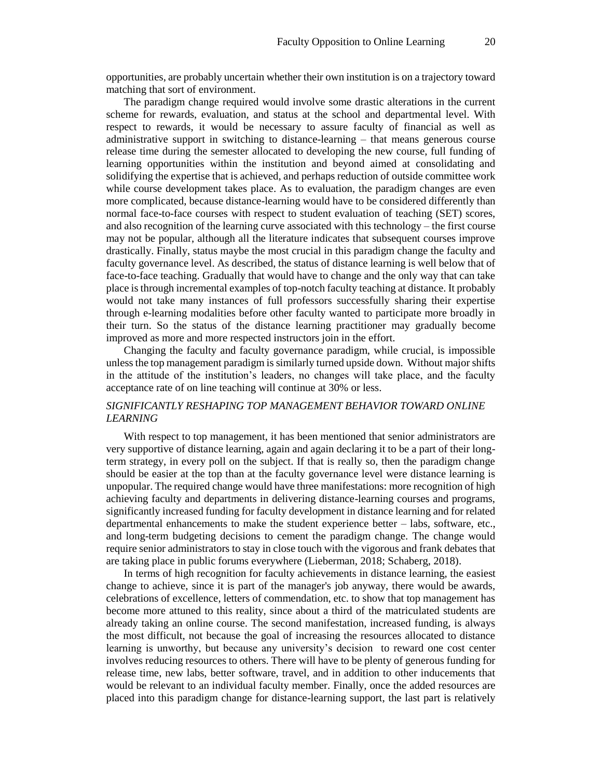opportunities, are probably uncertain whether their own institution is on a trajectory toward matching that sort of environment.

The paradigm change required would involve some drastic alterations in the current scheme for rewards, evaluation, and status at the school and departmental level. With respect to rewards, it would be necessary to assure faculty of financial as well as administrative support in switching to distance-learning – that means generous course release time during the semester allocated to developing the new course, full funding of learning opportunities within the institution and beyond aimed at consolidating and solidifying the expertise that is achieved, and perhaps reduction of outside committee work while course development takes place. As to evaluation, the paradigm changes are even more complicated, because distance-learning would have to be considered differently than normal face-to-face courses with respect to student evaluation of teaching (SET) scores, and also recognition of the learning curve associated with this technology – the first course may not be popular, although all the literature indicates that subsequent courses improve drastically. Finally, status maybe the most crucial in this paradigm change the faculty and faculty governance level. As described, the status of distance learning is well below that of face-to-face teaching. Gradually that would have to change and the only way that can take place is through incremental examples of top-notch faculty teaching at distance. It probably would not take many instances of full professors successfully sharing their expertise through e-learning modalities before other faculty wanted to participate more broadly in their turn. So the status of the distance learning practitioner may gradually become improved as more and more respected instructors join in the effort.

Changing the faculty and faculty governance paradigm, while crucial, is impossible unless the top management paradigm is similarly turned upside down. Without major shifts in the attitude of the institution's leaders, no changes will take place, and the faculty acceptance rate of on line teaching will continue at 30% or less.

# *SIGNIFICANTLY RESHAPING TOP MANAGEMENT BEHAVIOR TOWARD ONLINE LEARNING*

With respect to top management, it has been mentioned that senior administrators are very supportive of distance learning, again and again declaring it to be a part of their longterm strategy, in every poll on the subject. If that is really so, then the paradigm change should be easier at the top than at the faculty governance level were distance learning is unpopular. The required change would have three manifestations: more recognition of high achieving faculty and departments in delivering distance-learning courses and programs, significantly increased funding for faculty development in distance learning and for related departmental enhancements to make the student experience better – labs, software, etc., and long-term budgeting decisions to cement the paradigm change. The change would require senior administrators to stay in close touch with the vigorous and frank debates that are taking place in public forums everywhere (Lieberman, 2018; Schaberg, 2018).

In terms of high recognition for faculty achievements in distance learning, the easiest change to achieve, since it is part of the manager's job anyway, there would be awards, celebrations of excellence, letters of commendation, etc. to show that top management has become more attuned to this reality, since about a third of the matriculated students are already taking an online course. The second manifestation, increased funding, is always the most difficult, not because the goal of increasing the resources allocated to distance learning is unworthy, but because any university's decision to reward one cost center involves reducing resources to others. There will have to be plenty of generous funding for release time, new labs, better software, travel, and in addition to other inducements that would be relevant to an individual faculty member. Finally, once the added resources are placed into this paradigm change for distance-learning support, the last part is relatively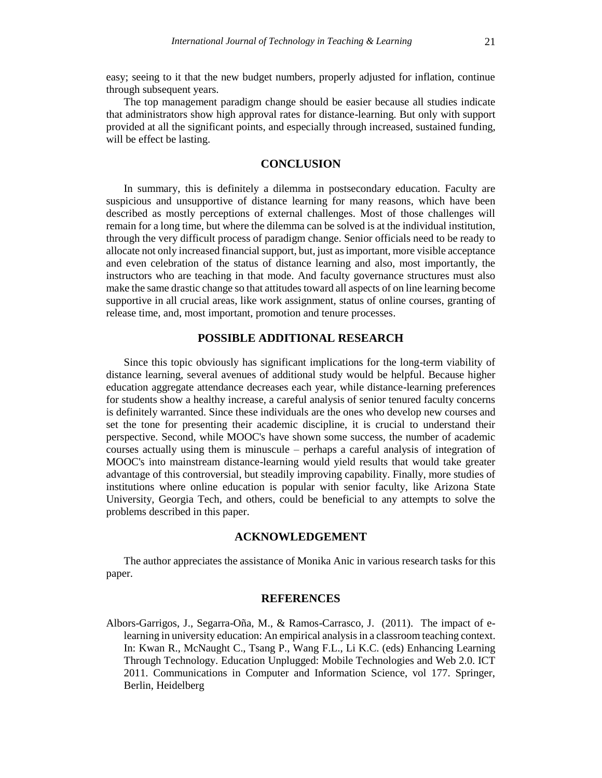The top management paradigm change should be easier because all studies indicate that administrators show high approval rates for distance-learning. But only with support provided at all the significant points, and especially through increased, sustained funding, will be effect be lasting.

## **CONCLUSION**

In summary, this is definitely a dilemma in postsecondary education. Faculty are suspicious and unsupportive of distance learning for many reasons, which have been described as mostly perceptions of external challenges. Most of those challenges will remain for a long time, but where the dilemma can be solved is at the individual institution, through the very difficult process of paradigm change. Senior officials need to be ready to allocate not only increased financial support, but, just as important, more visible acceptance and even celebration of the status of distance learning and also, most importantly, the instructors who are teaching in that mode. And faculty governance structures must also make the same drastic change so that attitudes toward all aspects of on line learning become supportive in all crucial areas, like work assignment, status of online courses, granting of release time, and, most important, promotion and tenure processes.

### **POSSIBLE ADDITIONAL RESEARCH**

Since this topic obviously has significant implications for the long-term viability of distance learning, several avenues of additional study would be helpful. Because higher education aggregate attendance decreases each year, while distance-learning preferences for students show a healthy increase, a careful analysis of senior tenured faculty concerns is definitely warranted. Since these individuals are the ones who develop new courses and set the tone for presenting their academic discipline, it is crucial to understand their perspective. Second, while MOOC's have shown some success, the number of academic courses actually using them is minuscule – perhaps a careful analysis of integration of MOOC's into mainstream distance-learning would yield results that would take greater advantage of this controversial, but steadily improving capability. Finally, more studies of institutions where online education is popular with senior faculty, like Arizona State University, Georgia Tech, and others, could be beneficial to any attempts to solve the problems described in this paper.

#### **ACKNOWLEDGEMENT**

The author appreciates the assistance of Monika Anic in various research tasks for this paper.

#### **REFERENCES**

Albors-Garrigos, J., Segarra-Oña, M., & Ramos-Carrasco, J. (2011). The impact of elearning in university education: An empirical analysis in a classroom teaching context. In: Kwan R., McNaught C., Tsang P., Wang F.L., Li K.C. (eds) Enhancing Learning Through Technology. Education Unplugged: Mobile Technologies and Web 2.0. ICT 2011. Communications in Computer and Information Science, vol 177. Springer, Berlin, Heidelberg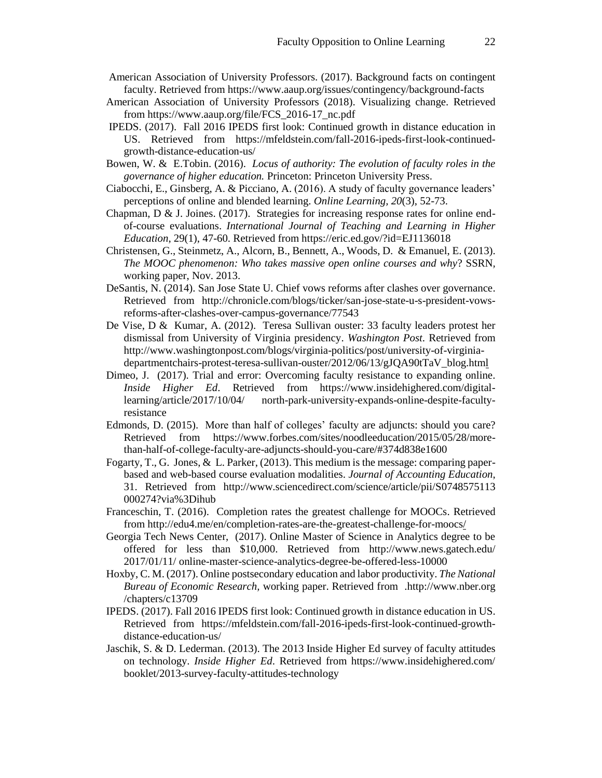- American Association of University Professors. (2017). Background facts on contingent faculty. Retrieved from https://www.aaup.org/issues/contingency/background-facts
- American Association of University Professors (2018). Visualizing change. Retrieved from https://www.aaup.org/file/FCS\_2016-17\_nc.pdf
- IPEDS. (2017). Fall 2016 IPEDS first look: Continued growth in distance education in US. Retrieved from https://mfeldstein.com/fall-2016-ipeds-first-look-continuedgrowth-distance-education-us/
- Bowen, W. & E.Tobin. (2016). *Locus of authority: The evolution of faculty roles in the governance of higher education.* Princeton: Princeton University Press.
- Ciabocchi, E., Ginsberg, A. & Picciano, A. (2016). A study of faculty governance leaders' perceptions of online and blended learning. *Online Learning, 20*(3), 52-73.
- Chapman,  $D \& J$ . Joines. (2017). Strategies for increasing response rates for online endof-course evaluations. *International Journal of Teaching and Learning in Higher Education*, 29(1), 47-60. Retrieved from https://eric.ed.gov/?id=EJ1136018
- Christensen, G., Steinmetz, A., Alcorn, B., Bennett, A., Woods, D. & Emanuel, E. (2013). *The MOOC phenomenon: Who takes massive open online courses and why*? SSRN*,*  working paper, Nov. 2013.
- DeSantis, N. (2014). San Jose State U. Chief vows reforms after clashes over governance. Retrieved from http://chronicle.com/blogs/ticker/san-jose-state-u-s-president-vowsreforms-after-clashes-over-campus-governance/77543
- De Vise, D & Kumar, A. (2012). Teresa Sullivan ouster: 33 faculty leaders protest her dismissal from University of Virginia presidency. *Washington Post*. Retrieved from http://www.washingtonpost.com/blogs/virginia-politics/post/university-of-virginiadepartmentchairs-protest-teresa-sullivan-ouster/2012/06/13/gJQA90tTaV\_blog.html
- Dimeo, J. (2017). Trial and error: Overcoming faculty resistance to expanding online. *Inside Higher Ed*. Retrieved from https://www.insidehighered.com/digitallearning/article/2017/10/04/ north-park-university-expands-online-despite-facultyresistance
- Edmonds, D. (2015). More than half of colleges' faculty are adjuncts: should you care? Retrieved from https://www.forbes.com/sites/noodleeducation/2015/05/28/morethan-half-of-college-faculty-are-adjuncts-should-you-care/#374d838e160[0](https://www.westga.edu/~distance/ojdla/spring181/mandernach_register_odonnell181.html)
- Fogarty, T., G. Jones, & L. Parker, (2013). This medium is the message: comparing paperbased and web-based course evaluation modalities. *Journal of Accounting Education*, 31. Retrieved from http://www.sciencedirect.com/science/article/pii/S0748575113 000274?via%3Dihub
- Franceschin, T. (2016). Completion rates the greatest challenge for MOOCs. Retrieved from http://edu4.me/en/completion-rates-are-the-greatest-challenge-for-moocs/
- Georgia Tech News Center, (2017). Online Master of Science in Analytics degree to be offered for less than \$10,000. Retrieved from http://www.news.gatech.edu/ 2017/01/11/ online-master-science-analytics-degree-be-offered-less-10000
- Hoxby, C. M. (2017). Online postsecondary education and labor productivity. *The National Bureau of Economic Research,* working paper. Retrieved from .http://www.nber.org /chapters/c13709
- IPEDS. (2017). Fall 2016 IPEDS first look: Continued growth in distance education in US. Retrieved from https://mfeldstein.com/fall-2016-ipeds-first-look-continued-growthdistance-education-us/
- Jaschik, S. & D. Lederman. (2013). The 2013 Inside Higher Ed survey of faculty attitudes on technology. *Inside Higher Ed*. Retrieved from https://www.insidehighered.com/ booklet/2013-survey-faculty-attitudes-technology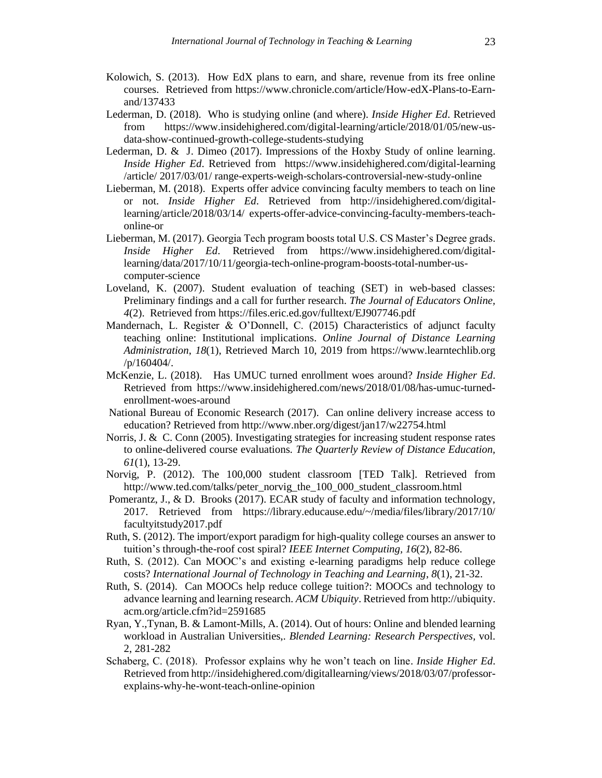- Kolowich, S. (2013). How EdX plans to earn, and share, revenue from its free online courses. Retrieved from https://www.chronicle.com/article/How-edX-Plans-to-Earnand/137433
- Lederman, D. (2018). Who is studying online (and where). *Inside Higher Ed*. Retrieved from https://www.insidehighered.com/digital-learning/article/2018/01/05/new-usdata-show-continued-growth-college-students-studying
- Lederman, D. & J. Dimeo (2017). Impressions of the Hoxby Study of online learning. *Inside Higher Ed*. Retrieved from https://www.insidehighered.com/digital-learning /article/ 2017/03/01/ range-experts-weigh-scholars-controversial-new-study-online
- Lieberman, M. (2018). Experts offer advice convincing faculty members to teach on line or not. *Inside Higher Ed*. Retrieved from http://insidehighered.com/digitallearning/article/2018/03/14/ experts-offer-advice-convincing-faculty-members-teachonline-or
- Lieberman, M. (2017). Georgia Tech program boosts total U.S. CS Master's Degree grads. *Inside Higher Ed*. Retrieved from https://www.insidehighered.com/digitallearning/data/2017/10/11/georgia-tech-online-program-boosts-total-number-uscomputer-science
- Loveland, K. (2007). Student evaluation of teaching (SET) in web-based classes: Preliminary findings and a call for further research. *The Journal of Educators Online, 4*(2). Retrieved from https://files.eric.ed.gov/fulltext/EJ907746.pdf
- Mandernach, L. Register  $\&$  O'Donnell, C. (2015) Characteristics of adjunct faculty teaching online: Institutional implications. *Online Journal of Distance Learning Administration*, *18*(1), Retrieved March 10, 2019 from https://www.learntechlib.org /p/160404/.
- McKenzie, L. (2018). Has UMUC turned enrollment woes around? *Inside Higher Ed*. Retrieved from https://www.insidehighered.com/news/2018/01/08/has-umuc-turnedenrollment-woes-around
- National Bureau of Economic Research (2017). Can online delivery increase access to education? Retrieved from http://www.nber.org/digest/jan17/w22754.html
- Norris, J. & C. Conn (2005). Investigating strategies for increasing student response rates to online-delivered course evaluations. *The Quarterly Review of Distance Education, 61*(1), 13-29.
- Norvig, P. (2012). The 100,000 student classroom [TED Talk]. Retrieved from http://www.ted.com/talks/peter\_norvig\_the\_100\_000\_student\_classroom.html
- Pomerantz, J., & D. Brooks (2017). ECAR study of faculty and information technology, 2017. Retrieved from https://library.educause.edu/~/media/files/library/2017/10/ facultyitstudy2017.pdf
- Ruth, S. (2012). The import/export paradigm for high-quality college courses an answer to tuition's through-the-roof cost spiral? *IEEE Internet Computing, 16*(2), 82-86.
- Ruth, S. (2012). Can MOOC's and existing e-learning paradigms help reduce college costs? *International Journal of Technology in Teaching and Learning*, *8*(1), 21-32.
- Ruth, S. (2014). Can MOOCs help reduce college tuition?: MOOCs and technology to advance learning and learning research. *ACM Ubiquity*. Retrieved from http://ubiquity. acm.org/article.cfm?id=2591685
- Ryan, Y.,Tynan, B. & Lamont-Mills, A. (2014). Out of hours: Online and blended learning workload in Australian Universities,. *Blended Learning: Research Perspectives,* vol. 2, 281-282
- Schaberg, C. (2018). Professor explains why he won't teach on line. *Inside Higher Ed*. Retrieved from http://insidehighered.com/digitallearning/views/2018/03/07/professorexplains-why-he-wont-teach-online-opinion